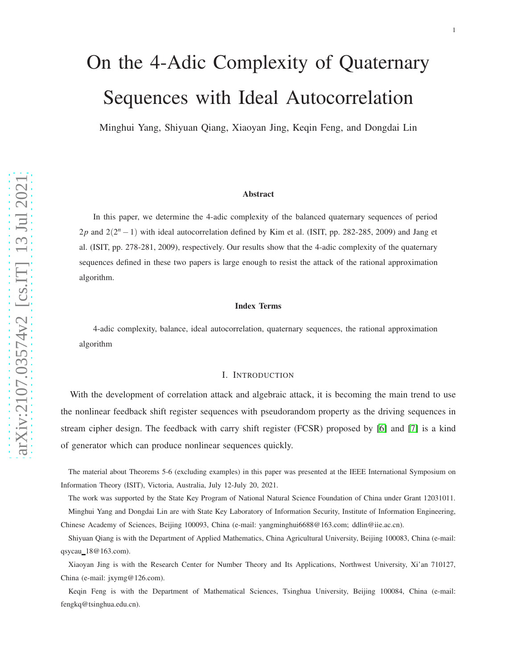# On the 4-Adic Complexity of Quaternary Sequences with Ideal Autocorrelation

Minghui Yang, Shiyuan Qiang, Xiaoyan Jing, Keqin Feng, and Dongdai Lin

#### Abstract

In this paper, we determine the 4-adic complexity of the balanced quaternary sequences of period  $2p$  and  $2(2<sup>n</sup> - 1)$  with ideal autocorrelation defined by Kim et al. (ISIT, pp. 282-285, 2009) and Jang et al. (ISIT, pp. 278-281, 2009), respectively. Our results show that the 4-adic complexity of the quaternary sequences defined in these two papers is large enough to resist the attack of the rational approximation algorithm.

## Index Terms

4-adic complexity, balance, ideal autocorrelation, quaternary sequences, the rational approximation algorithm

## I. INTRODUCTION

With the development of correlation attack and algebraic attack, it is becoming the main trend to use the nonlinear feedback shift register sequences with pseudorandom property as the driving sequences in stream cipher design. The feedback with carry shift register (FCSR) proposed by [\[6\]](#page-13-0) and [\[7\]](#page-13-1) is a kind of generator which can produce nonlinear sequences quickly .

The material about Theorems 5-6 (excluding examples) in this paper was presented at the IEEE International Symposium on Information Theory (ISIT), Victoria, Australia, July 12-July 20, 2021.

The work was supported by the State Key Program of National Natural Science Foundation of China under Grant 12031011.

Minghui Yang and Dongdai Lin are with State Key Laboratory of Information Security, Institute of Information Engineering, Chinese Academy of Sciences, Beijing 100093, China (e-mail: yangminghui6688@163.com; ddlin@iie.ac.cn).

Shiyuan Qiang is with the Department of Applied Mathematics, China Agricultural University, Beijing 100083, China (e-mail: qsycau 18@163.com).

Xiaoyan Jing is with the Research Center for Number Theory and Its Applications, Northwest University, Xi'an 710127, China (e-mail: jxymg@126.com).

Keqin Feng is with the Department of Mathematical Sciences, Tsinghua University, Beijing 100084, China (e-mail: fengkq@tsinghua.edu.cn).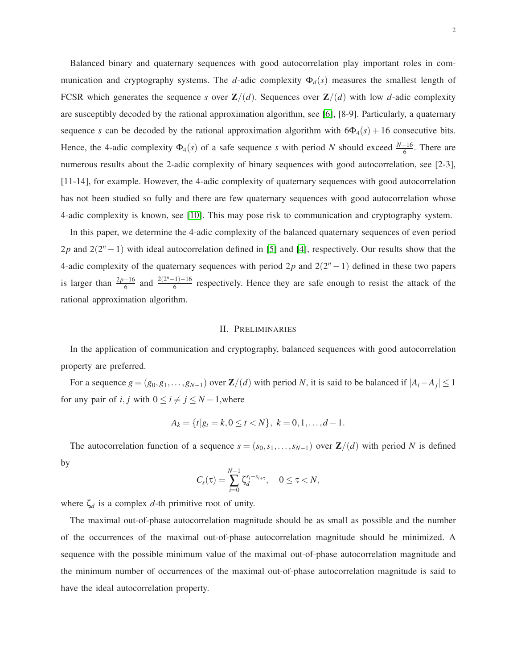Balanced binary and quaternary sequences with good autocorrelation play important roles in communication and cryptography systems. The *d*-adic complexity  $\Phi_d(s)$  measures the smallest length of FCSR which generates the sequence *s* over  $\mathbb{Z}/(d)$ . Sequences over  $\mathbb{Z}/(d)$  with low *d*-adic complexity are susceptibly decoded by the rational approximation algorithm, see [\[6\]](#page-13-0), [8-9]. Particularly, a quaternary sequence *s* can be decoded by the rational approximation algorithm with  $6\Phi_4(s) + 16$  consecutive bits. Hence, the 4-adic complexity  $\Phi_4(s)$  of a safe sequence *s* with period *N* should exceed  $\frac{N-16}{6}$ . There are numerous results about the 2-adic complexity of binary sequences with good autocorrelation, see [2-3], [11-14], for example. However, the 4-adic complexity of quaternary sequences with good autocorrelation has not been studied so fully and there are few quaternary sequences with good autocorrelation whose 4-adic complexity is known, see [\[10\]](#page-14-0). This may pose risk to communication and cryptography system.

In this paper, we determine the 4-adic complexity of the balanced quaternary sequences of even period 2*p* and  $2(2^n - 1)$  with ideal autocorrelation defined in [\[5\]](#page-13-2) and [\[4\]](#page-13-3), respectively. Our results show that the 4-adic complexity of the quaternary sequences with period  $2p$  and  $2(2<sup>n</sup> - 1)$  defined in these two papers is larger than  $\frac{2p-16}{6}$  and  $\frac{2(2^{n}-1)-16}{6}$  $rac{1}{6}$  respectively. Hence they are safe enough to resist the attack of the rational approximation algorithm.

## II. PRELIMINARIES

<span id="page-1-0"></span>In the application of communication and cryptography, balanced sequences with good autocorrelation property are preferred.

For a sequence  $g = (g_0, g_1, \ldots, g_{N-1})$  over  $\mathbb{Z}/(d)$  with period *N*, it is said to be balanced if  $|A_i - A_j| \leq 1$ for any pair of *i*, *j* with  $0 \le i \ne j \le N - 1$ , where

$$
A_k = \{t | g_t = k, 0 \le t < N\}, \ k = 0, 1, \dots, d - 1.
$$

The autocorrelation function of a sequence  $s = (s_0, s_1, \ldots, s_{N-1})$  over  $\mathbb{Z}/(d)$  with period *N* is defined by

$$
C_s(\tau)=\sum_{i=0}^{N-1}\zeta_d^{s_i-s_{i+\tau}},\quad 0\leq \tau < N,
$$

where  $\zeta_d$  is a complex  $d$ -th primitive root of unity.

The maximal out-of-phase autocorrelation magnitude should be as small as possible and the number of the occurrences of the maximal out-of-phase autocorrelation magnitude should be minimized. A sequence with the possible minimum value of the maximal out-of-phase autocorrelation magnitude and the minimum number of occurrences of the maximal out-of-phase autocorrelation magnitude is said to have the ideal autocorrelation property.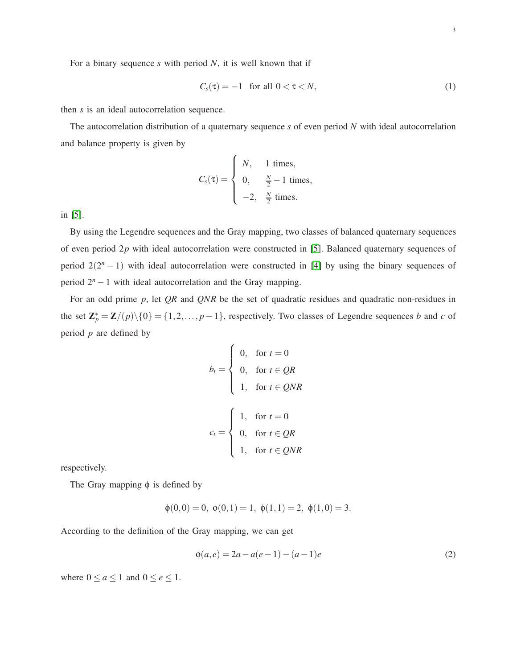For a binary sequence *s* with period *N*, it is well known that if

<span id="page-2-1"></span>
$$
C_s(\tau) = -1 \quad \text{for all } 0 < \tau < N,\tag{1}
$$

then *s* is an ideal autocorrelation sequence.

The autocorrelation distribution of a quaternary sequence *s* of even period *N* with ideal autocorrelation and balance property is given by

$$
C_s(\tau) = \begin{cases} N, & 1 \text{ times,} \\ 0, & \frac{N}{2} - 1 \text{ times,} \\ -2, & \frac{N}{2} \text{ times.} \end{cases}
$$

in [\[5\]](#page-13-2).

By using the Legendre sequences and the Gray mapping, two classes of balanced quaternary sequences of even period 2*p* with ideal autocorrelation were constructed in [\[5\]](#page-13-2). Balanced quaternary sequences of period  $2(2<sup>n</sup> - 1)$  with ideal autocorrelation were constructed in [\[4\]](#page-13-3) by using the binary sequences of period 2*<sup>n</sup>* −1 with ideal autocorrelation and the Gray mapping.

For an odd prime *p*, let *QR* and *QNR* be the set of quadratic residues and quadratic non-residues in the set  $\mathbb{Z}_p^* = \mathbb{Z}/(p) \setminus \{0\} = \{1, 2, ..., p-1\}$ , respectively. Two classes of Legendre sequences *b* and *c* of period *p* are defined by

$$
b_t = \begin{cases} 0, & \text{for } t = 0 \\ 0, & \text{for } t \in QR \\ 1, & \text{for } t \in QNR \end{cases}
$$
\n
$$
c_t = \begin{cases} 1, & \text{for } t = 0 \\ 0, & \text{for } t \in QR \\ 1, & \text{for } t \in QNR \end{cases}
$$

respectively.

The Gray mapping  $\phi$  is defined by

$$
\phi(0,0) = 0, \ \phi(0,1) = 1, \ \phi(1,1) = 2, \ \phi(1,0) = 3.
$$

According to the definition of the Gray mapping, we can get

<span id="page-2-0"></span>
$$
\phi(a,e) = 2a - a(e-1) - (a-1)e
$$
\n(2)

where  $0 \le a \le 1$  and  $0 \le e \le 1$ .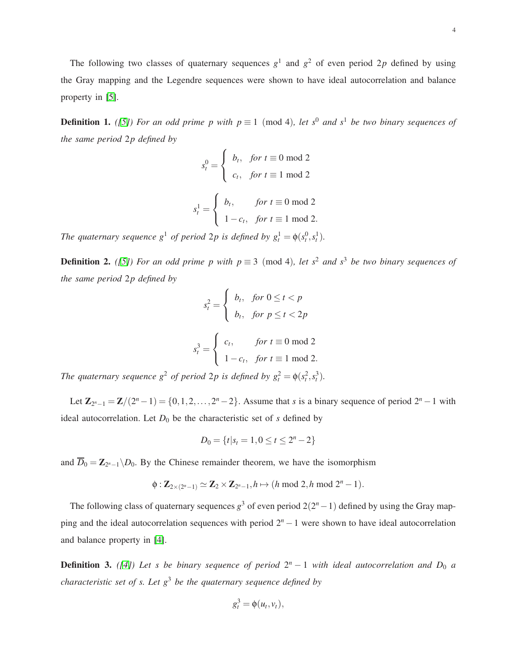The following two classes of quaternary sequences  $g<sup>1</sup>$  and  $g<sup>2</sup>$  of even period 2p defined by using the Gray mapping and the Legendre sequences were shown to have ideal autocorrelation and balance property in [\[5\]](#page-13-2).

<span id="page-3-0"></span>**Definition 1.** *([\[5\]](#page-13-2))* For an odd prime p with  $p \equiv 1 \pmod{4}$ , let s<sup>0</sup> and s<sup>1</sup> be two binary sequences of *the same period* 2*p defined by*

$$
s_t^0 = \begin{cases} b_t, & \text{for } t \equiv 0 \text{ mod } 2 \\ c_t, & \text{for } t \equiv 1 \text{ mod } 2 \end{cases}
$$

$$
s_t^1 = \begin{cases} b_t, & \text{for } t \equiv 0 \text{ mod } 2 \\ 1 - c_t, & \text{for } t \equiv 1 \text{ mod } 2. \end{cases}
$$

*The quaternary sequence*  $g^1$  *of period* 2*p is defined by*  $g_t^1 = \phi(s_t^0, s_t^1)$ *.* 

**Definition 2.** *([\[5\]](#page-13-2))* For an odd prime p with  $p \equiv 3 \pmod{4}$ , let s<sup>2</sup> and s<sup>3</sup> be two binary sequences of *the same period* 2*p defined by*

$$
s_t^2 = \begin{cases} b_t, & \text{for } 0 \le t < p \\ b_t, & \text{for } p \le t < 2p \end{cases}
$$
\n
$$
s_t^3 = \begin{cases} c_t, & \text{for } t \equiv 0 \text{ mod } 2 \\ 1 - c_t, & \text{for } t \equiv 1 \text{ mod } 2. \end{cases}
$$

*The quaternary sequence*  $g^2$  *of period* 2*p is defined by*  $g_t^2 = \phi(s_t^2, s_t^3)$ *.* 

Let  $\mathbb{Z}_{2^{n}-1} = \mathbb{Z}/(2^{n}-1) = \{0,1,2,...,2^{n}-2\}$ . Assume that *s* is a binary sequence of period  $2^{n}-1$  with ideal autocorrelation. Let  $D_0$  be the characteristic set of  $s$  defined by

$$
D_0 = \{t | s_t = 1, 0 \le t \le 2^n - 2\}
$$

and  $\overline{D}_0 = \mathbb{Z}_{2^n-1} \backslash D_0$ . By the Chinese remainder theorem, we have the isomorphism

$$
\phi: \mathbb{Z}_{2\times (2^n-1)} \simeq \mathbb{Z}_2 \times \mathbb{Z}_{2^n-1}, h \mapsto (h \bmod 2, h \bmod 2^n - 1).
$$

The following class of quaternary sequences  $g^3$  of even period  $2(2^n - 1)$  defined by using the Gray mapping and the ideal autocorrelation sequences with period 2*<sup>n</sup>* −1 were shown to have ideal autocorrelation and balance property in [\[4\]](#page-13-3).

<span id="page-3-1"></span>**Definition 3.** ([\[4\]](#page-13-3)) Let s be binary sequence of period  $2^n - 1$  with ideal autocorrelation and  $D_0$  a *characteristic set of s. Let g*<sup>3</sup> *be the quaternary sequence defined by*

$$
g_t^3 = \phi(u_t, v_t),
$$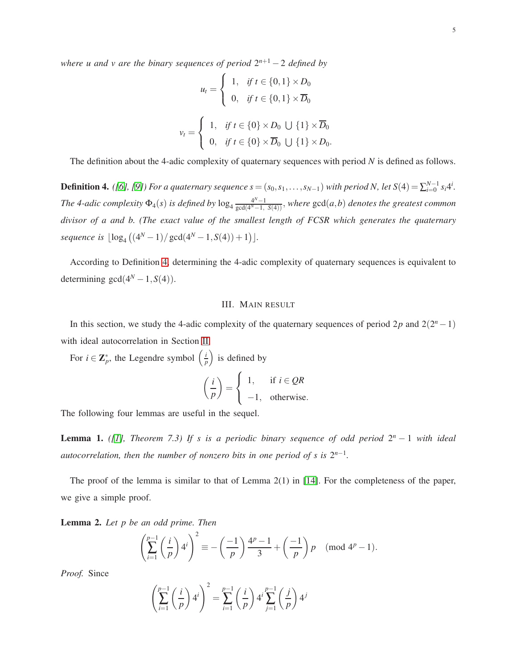*where u and v are the binary sequences of period*  $2^{n+1}$  − 2 *defined by* 

$$
u_t = \begin{cases} 1, & \text{if } t \in \{0, 1\} \times D_0 \\ 0, & \text{if } t \in \{0, 1\} \times \overline{D}_0 \end{cases}
$$
\n
$$
v_t = \begin{cases} 1, & \text{if } t \in \{0\} \times D_0 \cup \{1\} \times \overline{D}_0 \\ 0, & \text{if } t \in \{0\} \times \overline{D}_0 \cup \{1\} \times D_0. \end{cases}
$$

The definition about the 4-adic complexity of quaternary sequences with period *N* is defined as follows.

<span id="page-4-0"></span>**Definition 4.** ([\[6\]](#page-13-0), [\[9\]](#page-13-4)) For a quaternary sequence  $s = (s_0, s_1, \ldots, s_{N-1})$  with period N, let  $S(4) = \sum_{i=0}^{N-1} s_i 4^i$ . *The 4-adic complexity*  $\Phi_4(s)$  *is defined by*  $\log_4 \frac{4^N - 1}{\gcd(4^N - 1)}$ gcd(4 *<sup>N</sup>*−1, *<sup>S</sup>*(4)), *where* gcd(*a*,*b*) *denotes the greatest common divisor of a and b. (The exact value of the smallest length of FCSR which generates the quaternary*  $sequence is \lfloor log_4 ((4^N - 1) / gcd(4^N - 1, S(4)) + 1) \rfloor.$ 

According to Definition [4,](#page-4-0) determining the 4-adic complexity of quaternary sequences is equivalent to determining  $gcd(4^N - 1, S(4))$ .

## III. MAIN RESULT

In this section, we study the 4-adic complexity of the quaternary sequences of period  $2p$  and  $2(2<sup>n</sup> - 1)$ with ideal autocorrelation in Section [II.](#page-1-0)

For  $i \in \mathbb{Z}_p^*$ , the Legendre symbol  $\left(\frac{i}{p}\right)$  $\left(\frac{i}{p}\right)$  is defined by

$$
\left(\frac{i}{p}\right) = \begin{cases} 1, & \text{if } i \in QR \\ -1, & \text{otherwise.} \end{cases}
$$

The following four lemmas are useful in the sequel.

<span id="page-4-2"></span>**Lemma 1.** ([\[1\]](#page-13-5), Theorem 7.3) If s is a periodic binary sequence of odd period  $2^n - 1$  with ideal *autocorrelation, then the number of nonzero bits in one period of s is*  $2^{n-1}$ *.* 

The proof of the lemma is similar to that of Lemma 2(1) in [\[14\]](#page-14-1). For the completeness of the paper, we give a simple proof.

<span id="page-4-1"></span>Lemma 2. *Let p be an odd prime. Then*

$$
\left(\sum_{i=1}^{p-1}\left(\frac{i}{p}\right)4^i\right)^2\equiv -\left(\frac{-1}{p}\right)\frac{4^p-1}{3}+\left(\frac{-1}{p}\right)p \pmod{4^p-1}.
$$

*Proof.* Since

$$
\left(\sum_{i=1}^{p-1} \left(\frac{i}{p}\right) 4^i\right)^2 = \sum_{i=1}^{p-1} \left(\frac{i}{p}\right) 4^i \sum_{j=1}^{p-1} \left(\frac{j}{p}\right) 4^j
$$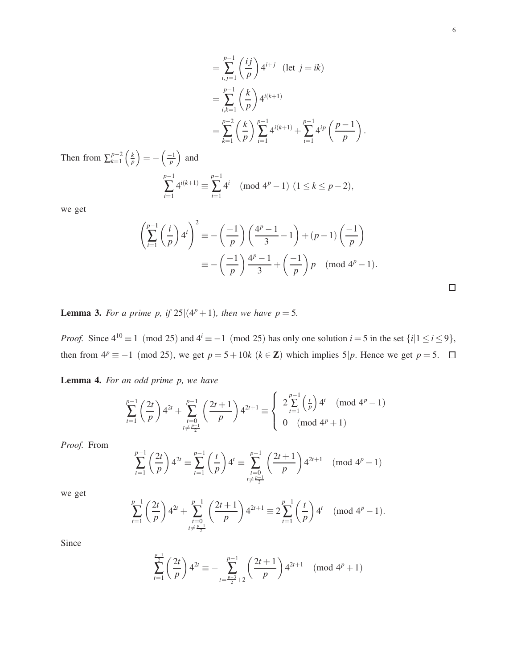$$
= \sum_{i,j=1}^{p-1} \left(\frac{ij}{p}\right) 4^{i+j} \quad (\text{let } j = ik)
$$

$$
= \sum_{i,k=1}^{p-1} \left(\frac{k}{p}\right) 4^{i(k+1)}
$$

$$
= \sum_{k=1}^{p-2} \left(\frac{k}{p}\right) \sum_{i=1}^{p-1} 4^{i(k+1)} + \sum_{i=1}^{p-1} 4^{i p} \left(\frac{p-1}{p}\right)
$$
  
Then from  $\sum_{k=1}^{p-2} \left(\frac{k}{p}\right) = -\left(\frac{-1}{p}\right)$  and

 $_{k=1}^{p-2}$   $\left(\frac{k}{p}\right)$  $\left(\frac{k}{p}\right)$  $=-\left(\frac{-1}{n}\right)$  $\frac{-1}{p}$ ) and *p*−1 ∑ *i*=1  $4^{i(k+1)} \equiv \sum^{p-1}$ ∑ *i*=1  $4^{i} \pmod{4^{p}-1}$   $(1 \leq k \leq p-2)$ ,

we get

$$
\left(\sum_{i=1}^{p-1} \left(\frac{i}{p}\right) 4^i\right)^2 \equiv -\left(\frac{-1}{p}\right) \left(\frac{4^p - 1}{3} - 1\right) + (p - 1) \left(\frac{-1}{p}\right)
$$

$$
\equiv -\left(\frac{-1}{p}\right) \frac{4^p - 1}{3} + \left(\frac{-1}{p}\right) p \pmod{4^p - 1}.
$$

<span id="page-5-1"></span>**Lemma 3.** For a prime p, if  $25|(4^p+1)$ , then we have  $p = 5$ .

*Proof.* Since  $4^{10} \equiv 1 \pmod{25}$  and  $4^{i} \equiv -1 \pmod{25}$  has only one solution  $i = 5$  in the set  $\{i | 1 \le i \le 9\}$ , then from  $4^p \equiv -1 \pmod{25}$ , we get  $p = 5 + 10k$  ( $k \in \mathbb{Z}$ ) which implies 5|p. Hence we get  $p = 5$ .  $\Box$ 

<span id="page-5-0"></span>Lemma 4. *For an odd prime p, we have*

$$
\sum_{t=1}^{p-1} \left(\frac{2t}{p}\right) 4^{2t} + \sum_{\substack{t=0 \ t \neq \frac{p-1}{2}}}^{p-1} \left(\frac{2t+1}{p}\right) 4^{2t+1} \equiv \begin{cases} 2\sum_{t=1}^{p-1} \left(\frac{t}{p}\right) 4^t \pmod{4^p-1} \\ 0 \pmod{4^p+1} \end{cases}
$$

*Proof.* From

$$
\sum_{t=1}^{p-1} \left(\frac{2t}{p}\right) 4^{2t} \equiv \sum_{t=1}^{p-1} \left(\frac{t}{p}\right) 4^t \equiv \sum_{\substack{t=0 \\ t \neq \frac{p-1}{2}}}^{p-1} \left(\frac{2t+1}{p}\right) 4^{2t+1} \pmod{4^p-1}
$$

we get

$$
\sum_{t=1}^{p-1} \left(\frac{2t}{p}\right) 4^{2t} + \sum_{\substack{t=0 \ t \neq \frac{p-1}{2}}}^{p-1} \left(\frac{2t+1}{p}\right) 4^{2t+1} \equiv 2 \sum_{t=1}^{p-1} \left(\frac{t}{p}\right) 4^t \pmod{4^p - 1}.
$$

Since

$$
\sum_{t=1}^{\frac{p-1}{2}} \left(\frac{2t}{p}\right) 4^{2t} \equiv -\sum_{t=\frac{p-3}{2}+2}^{p-1} \left(\frac{2t+1}{p}\right) 4^{2t+1} \pmod{4^p+1}
$$

.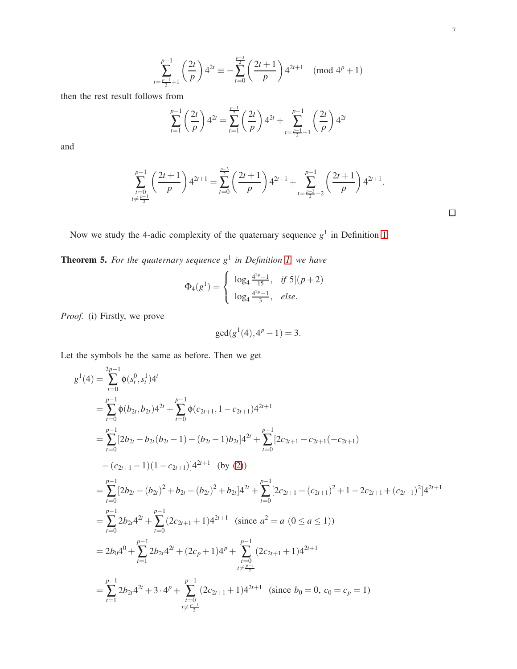$$
\sum_{t=\frac{p-1}{2}+1}^{p-1} \left(\frac{2t}{p}\right) 4^{2t} \equiv -\sum_{t=0}^{\frac{p-3}{2}} \left(\frac{2t+1}{p}\right) 4^{2t+1} \pmod{4^p+1}
$$

then the rest result follows from

$$
\sum_{t=1}^{p-1} \left(\frac{2t}{p}\right) 4^{2t} = \sum_{t=1}^{\frac{p-1}{2}} \left(\frac{2t}{p}\right) 4^{2t} + \sum_{t=\frac{p-1}{2}+1}^{p-1} \left(\frac{2t}{p}\right) 4^{2t}
$$

and

$$
\sum_{\substack{t=0 \ t \neq \frac{p-1}{2}}}^{p-1} \left( \frac{2t+1}{p} \right) 4^{2t+1} = \sum_{t=0}^{\frac{p-3}{2}} \left( \frac{2t+1}{p} \right) 4^{2t+1} + \sum_{t=\frac{p-3}{2}+2}^{p-1} \left( \frac{2t+1}{p} \right) 4^{2t+1}.
$$

Now we study the 4-adic complexity of the quaternary sequence  $g<sup>1</sup>$  in Definition [1.](#page-3-0)

<span id="page-6-0"></span>Theorem 5. *For the quaternary sequence g*<sup>1</sup> *in Definition [1,](#page-3-0) we have*

$$
\Phi_4(g^1) = \begin{cases} \log_4 \frac{4^{2p}-1}{15}, & \text{if } 5|(p+2) \\ \log_4 \frac{4^{2p}-1}{3}, & \text{else.} \end{cases}
$$

*Proof.* (i) Firstly, we prove

$$
\gcd(g^1(4), 4^p - 1) = 3.
$$

Let the symbols be the same as before. Then we get

$$
g^{1}(4) = \sum_{t=0}^{2p-1} \phi(s_{t}^{0}, s_{t}^{1})4^{t}
$$
  
\n
$$
= \sum_{t=0}^{p-1} \phi(b_{2t}, b_{2t})4^{2t} + \sum_{t=0}^{p-1} \phi(c_{2t+1}, 1 - c_{2t+1})4^{2t+1}
$$
  
\n
$$
= \sum_{t=0}^{p-1} [2b_{2t} - b_{2t}(b_{2t} - 1) - (b_{2t} - 1)b_{2t}]4^{2t} + \sum_{t=0}^{p-1} [2c_{2t+1} - c_{2t+1}(-c_{2t+1})
$$
  
\n
$$
- (c_{2t+1} - 1)(1 - c_{2t+1})]4^{2t+1}
$$
 (by (2))  
\n
$$
= \sum_{t=0}^{p-1} [2b_{2t} - (b_{2t})^{2} + b_{2t} - (b_{2t})^{2} + b_{2t}]4^{2t} + \sum_{t=0}^{p-1} [2c_{2t+1} + (c_{2t+1})^{2} + 1 - 2c_{2t+1} + (c_{2t+1})^{2}]4^{2t+1}
$$
  
\n
$$
= \sum_{t=0}^{p-1} 2b_{2t}4^{2t} + \sum_{t=0}^{p-1} (2c_{2t+1} + 1)4^{2t+1}
$$
 (since  $a^{2} = a$  (0  $\le a \le 1$ ))  
\n
$$
= 2b_{0}4^{0} + \sum_{t=1}^{p-1} 2b_{2t}4^{2t} + (2c_{p} + 1)4^{p} + \sum_{t=0}^{p-1} (2c_{2t+1} + 1)4^{2t+1}
$$
  
\n
$$
= \sum_{t=1}^{p-1} 2b_{2t}4^{2t} + 3 \cdot 4^{p} + \sum_{t=0}^{p-1} (2c_{2t+1} + 1)4^{2t+1}
$$
 (since  $b_{0} = 0, c_{0} = c_{p} = 1$ )

 $\Box$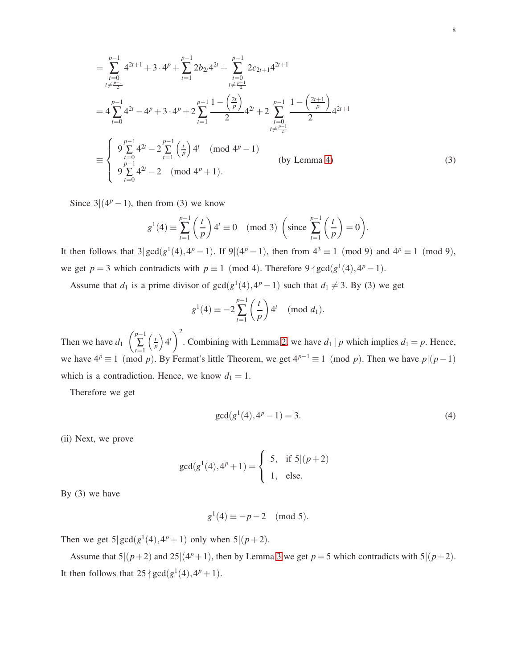$$
= \sum_{\substack{t=0 \ t \neq \frac{p-1}{2}}}^{p-1} 4^{2t+1} + 3 \cdot 4^p + \sum_{t=1}^{p-1} 2b_{2t}4^{2t} + \sum_{\substack{t=0 \ t \neq \frac{p-1}{2}}}^{p-1} 2c_{2t+1}4^{2t+1}
$$
  
\n
$$
= 4 \sum_{t=0}^{p-1} 4^{2t} - 4^p + 3 \cdot 4^p + 2 \sum_{t=1}^{p-1} \frac{1 - \left(\frac{2t}{p}\right)}{2} 4^{2t} + 2 \sum_{\substack{t=0 \ t \neq \frac{p-1}{2}}}^{p-1} \frac{1 - \left(\frac{2t+1}{p}\right)}{2} 4^{2t+1}
$$
  
\n
$$
= \begin{cases} 9 \sum_{t=0}^{p-1} 4^{2t} - 2 \sum_{t=1}^{p-1} \left(\frac{t}{p}\right) 4^t \pmod{4^p - 1} \\ 9 \sum_{t=0}^{p-1} 4^{2t} - 2 \pmod{4^p + 1}. \end{cases}
$$
 (by Lemma 4)

Since  $3|(4^p-1)$ , then from (3) we know

$$
g^{1}(4) \equiv \sum_{t=1}^{p-1} \left(\frac{t}{p}\right) 4^{t} \equiv 0 \pmod{3} \left(\text{since } \sum_{t=1}^{p-1} \left(\frac{t}{p}\right) = 0\right).
$$

It then follows that  $3|gcd(g^1(4), 4^p - 1)$ . If  $9|(4^p - 1)$ , then from  $4^3 \equiv 1 \pmod{9}$  and  $4^p \equiv 1 \pmod{9}$ , we get  $p = 3$  which contradicts with  $p \equiv 1 \pmod{4}$ . Therefore  $9 \nmid \gcd(g^1(4), 4^p - 1)$ .

Assume that  $d_1$  is a prime divisor of  $gcd(g^1(4), 4^p - 1)$  such that  $d_1 \neq 3$ . By (3) we get

$$
g^{1}(4) \equiv -2\sum_{t=1}^{p-1} \left(\frac{t}{p}\right) 4^{t} \pmod{d_1}.
$$

Then we have  $d_1$  $\left(\begin{array}{c} p-1 \\ n \end{array}\right)$  $\sum_{t=1}$  $\frac{t}{2}$  $\left(\frac{t}{p}\right)4^t$ <sup>2</sup> . Combining with Lemma [2,](#page-4-1) we have  $d_1 | p$  which implies  $d_1 = p$ . Hence, we have  $4^p \equiv 1 \pmod{p}$ . By Fermat's little Theorem, we get  $4^{p-1} \equiv 1 \pmod{p}$ . Then we have  $p|(p-1)$ which is a contradiction. Hence, we know  $d_1 = 1$ .

Therefore we get

$$
\gcd(g^1(4), 4^p - 1) = 3. \tag{4}
$$

(ii) Next, we prove

$$
\gcd(g^1(4), 4^p + 1) = \begin{cases} 5, & \text{if } 5 | (p+2) \\ 1, & \text{else.} \end{cases}
$$

By (3) we have

$$
g^1(4) \equiv -p-2 \pmod{5}.
$$

Then we get  $5|gcd(g^1(4), 4^p + 1)$  only when  $5|(p+2)$ .

Assume that  $5|(p+2)$  and  $25|(4^p+1)$ , then by Lemma [3](#page-5-1) we get  $p=5$  which contradicts with  $5|(p+2)$ . It then follows that  $25 \nmid \gcd(g^1(4), 4^p + 1)$ .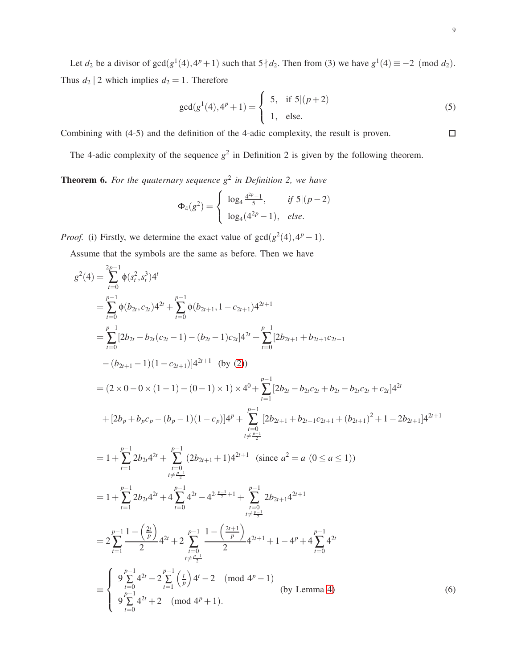Let  $d_2$  be a divisor of  $gcd(g^1(4), 4^p + 1)$  such that  $5 \nmid d_2$ . Then from (3) we have  $g^1(4) \equiv -2 \pmod{d_2}$ . Thus  $d_2$  | 2 which implies  $d_2 = 1$ . Therefore

$$
\gcd(g^{1}(4), 4^{p}+1) = \begin{cases} 5, & \text{if } 5|(p+2) \\ 1, & \text{else.} \end{cases}
$$
 (5)

Combining with (4-5) and the definition of the 4-adic complexity, the result is proven.

The 4-adic complexity of the sequence  $g^2$  in Definition 2 is given by the following theorem.

<span id="page-8-0"></span>**Theorem 6.** For the quaternary sequence  $g^2$  in Definition 2, we have

$$
\Phi_4(g^2) = \begin{cases} \log_4 \frac{4^{2p}-1}{5}, & \text{if } 5|(p-2) \\ \log_4(4^{2p}-1), & \text{else.} \end{cases}
$$

*Proof.* (i) Firstly, we determine the exact value of  $gcd(g^2(4), 4^p - 1)$ .

Assume that the symbols are the same as before. Then we have

$$
g^{2}(4) = \sum_{t=0}^{2p-1} \phi(s_{t}^{2}, s_{t}^{3})4^{t}
$$
  
\n
$$
= \sum_{t=0}^{p-1} \phi(b_{2t}, c_{2t})4^{2t} + \sum_{t=0}^{p-1} \phi(b_{2t+1}, 1 - c_{2t+1})4^{2t+1}
$$
  
\n
$$
= \sum_{t=0}^{p-1} [2b_{2t} - b_{2t}(c_{2t} - 1) - (b_{2t} - 1)c_{2t}]4^{2t} + \sum_{t=0}^{p-1} [2b_{2t+1} + b_{2t+1}c_{2t+1}
$$
  
\n
$$
- (b_{2t+1} - 1)(1 - c_{2t+1})]4^{2t+1} \text{ (by (2))}
$$
  
\n
$$
= (2 \times 0 - 0 \times (1 - 1) - (0 - 1) \times 1) \times 4^{0} + \sum_{t=1}^{p-1} [2b_{2t} - b_{2t}c_{2t} + b_{2t} - b_{2t}c_{2t} + c_{2t}]4^{2t}
$$
  
\n
$$
+ [2b_{p} + b_{p}c_{p} - (b_{p} - 1)(1 - c_{p})]4^{p} + \sum_{t=0}^{p-1} [2b_{2t+1} + b_{2t+1}c_{2t+1} + (b_{2t+1})^{2} + 1 - 2b_{2t+1}]4^{2t+1}
$$
  
\n
$$
= 1 + \sum_{t=1}^{p-1} 2b_{2t}4^{2t} + \sum_{t=0}^{p-1} (2b_{2t+1} + 1)4^{2t+1} \text{ (since } a^{2} = a \text{ (0 \le a \le 1)})
$$
  
\n
$$
= 1 + \sum_{t=1}^{p-1} 2b_{2t}4^{2t} + 4 \sum_{t=0}^{p-1} 4^{2t} - 4^{2\frac{p-1}{2}+1} + \sum_{t=0}^{p-1} 2b_{2t+1}4^{2t+1}
$$
  
\n
$$
= 2 \sum_{t=1}^{p-1} \frac{1 - (\frac{2t}{p})}{2} 4^{2t} + 2 \sum_{t=0}
$$

 $\Box$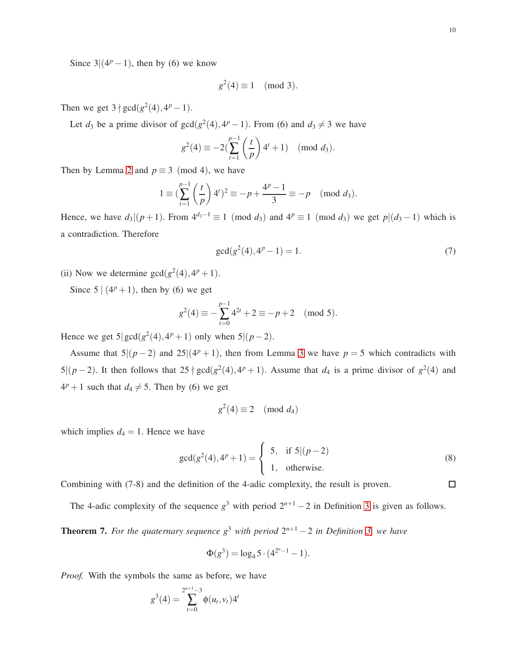$\Box$ 

Since  $3|(4^p-1)$ , then by (6) we know

$$
g^2(4) \equiv 1 \pmod{3}.
$$

Then we get  $3 \nmid gcd(g^2(4), 4^p - 1)$ .

Let  $d_3$  be a prime divisor of  $gcd(g^2(4), 4^p - 1)$ . From (6) and  $d_3 \neq 3$  we have

$$
g^{2}(4) \equiv -2\left(\sum_{t=1}^{p-1} \left(\frac{t}{p}\right) 4^{t} + 1\right) \pmod{d_{3}}.
$$

Then by Lemma [2](#page-4-1) and  $p \equiv 3 \pmod{4}$ , we have

$$
1 \equiv \left(\sum_{t=1}^{p-1} \left(\frac{t}{p}\right) 4^t\right)^2 \equiv -p + \frac{4^p - 1}{3} \equiv -p \pmod{d_3}.
$$

Hence, we have  $d_3|(p+1)$ . From  $4^{d_3-1} \equiv 1 \pmod{d_3}$  and  $4^p \equiv 1 \pmod{d_3}$  we get  $p|(d_3-1)$  which is a contradiction. Therefore

$$
\gcd(g^2(4), 4^p - 1) = 1. \tag{7}
$$

(ii) Now we determine  $gcd(g^2(4), 4^p + 1)$ .

Since  $5|(4^p+1)$ , then by (6) we get

$$
g^{2}(4) \equiv -\sum_{t=0}^{p-1} 4^{2t} + 2 \equiv -p+2 \pmod{5}.
$$

Hence we get  $5|gcd(g^2(4), 4^p + 1)$  only when  $5|(p-2)$ .

Assume that  $5|(p-2)$  and  $25|(4^p+1)$ , then from Lemma [3](#page-5-1) we have  $p=5$  which contradicts with 5 $|(p-2)$ . It then follows that 25  $\nmid$  gcd( $g^2(4)$ , 4<sup>p</sup> + 1). Assume that  $d_4$  is a prime divisor of  $g^2(4)$  and  $4<sup>p</sup> + 1$  such that  $d_4 \neq 5$ . Then by (6) we get

$$
g^2(4) \equiv 2 \pmod{d_4}
$$

which implies  $d_4 = 1$ . Hence we have

$$
\gcd(g^{2}(4), 4^{p} + 1) = \begin{cases} 5, & \text{if } 5 | (p - 2) \\ 1, & \text{otherwise.} \end{cases}
$$
 (8)

Combining with (7-8) and the definition of the 4-adic complexity, the result is proven.

The 4-adic complexity of the sequence  $g^3$  with period  $2^{n+1} - 2$  in Definition [3](#page-3-1) is given as follows.

<span id="page-9-0"></span>**Theorem 7.** For the quaternary sequence  $g^3$  with period  $2^{n+1} - 2$  in Definition [3,](#page-3-1) we have

$$
\Phi(g^3) = \log_4 5 \cdot (4^{2^n - 1} - 1).
$$

*Proof.* With the symbols the same as before, we have

$$
g^{3}(4) = \sum_{t=0}^{2^{n+1}-3} \phi(u_{t},v_{t})4^{t}
$$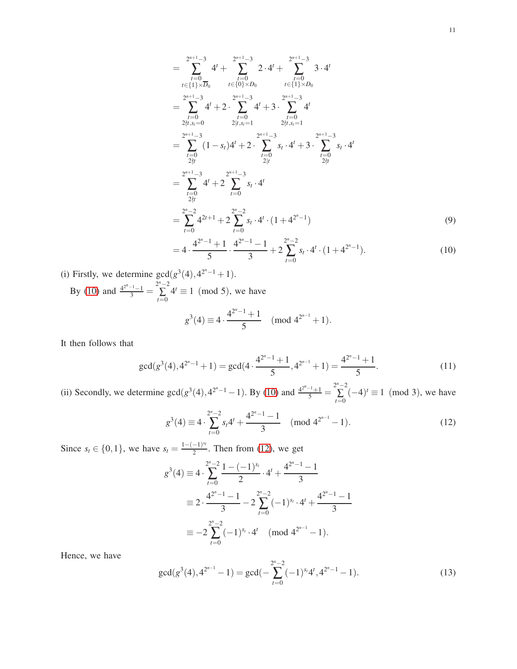$$
= \sum_{\substack{t=0 \ t \in \{1\} \times D_0}}^{2^{n+1}-3} 4^t + \sum_{\substack{t=0 \ t \in \{0\} \times D_0}}^{2^{n+1}-3} 2 \cdot 4^t + \sum_{\substack{t=0 \ t \in \{1\} \times D_0}}^{2^{n+1}-3} 3 \cdot 4^t
$$
  
\n
$$
= \sum_{\substack{t=0 \ t \in \{1\} \times D_0}}^{2^{n+1}-3} 4^t + 2 \cdot \sum_{\substack{t=0 \ t \in \{1\} \times D_1}}^{2^{n+1}-3} 4^t + 3 \cdot \sum_{\substack{t=0 \ t \in \{1\} \times D_1}}^{2^{n+1}-3} 4^t
$$
  
\n
$$
= \sum_{\substack{t=0 \ t \in \{1\} \times D_1}}^{2^{n+1}-3} (1-s_t)4^t + 2 \cdot \sum_{\substack{t=0 \ t \in \{1\} \times D_1}}^{2^{n+1}-3} s_t \cdot 4^t + 3 \cdot \sum_{\substack{t=0 \ t \in \{1\} \times D_1}}^{2^{n+1}-3} s_t \cdot 4^t
$$
  
\n
$$
= \sum_{\substack{t=0 \ t \in \{1\} \times D_1}}^{2^{n+1}-3} 4^t + 2 \sum_{\substack{t=0 \ t \in \{1\} \times D_1}}^{2^{n+1}-3} s_t \cdot 4^t
$$
  
\n
$$
= \sum_{\substack{t=0 \ t \in \{1\} \times D_1}}^{2^{n+1}-3} 4^t + 2 \sum_{\substack{t=0 \ t \in \{1\} \times D_1}}^{2^{n+1}-3} s_t \cdot 4^t \cdot (1 + 4^{2^n-1})
$$
  
\n
$$
= \sum_{t=0}^{2^n-2} 4^{2t+1} + 2 \sum_{t=0}^{2^n-2} s_t \cdot 4^t \cdot (1 + 4^{2^n-1})
$$
  
\n
$$
= 4^{2^n-1} + 1 \cdot 4^{2^n-1} - 1 \qquad 2^n-2
$$

<span id="page-10-3"></span><span id="page-10-0"></span>
$$
= 4 \cdot \frac{4^{2^{n}-1}+1}{5} \cdot \frac{4^{2^{n}-1}-1}{3} + 2 \sum_{t=0}^{2^{n}-2} s_t \cdot 4^t \cdot (1+4^{2^{n}-1}). \tag{10}
$$

(i) Firstly, we determine  $gcd(g^3(4), 4^{2^n-1} + 1)$ . By [\(10\)](#page-10-0) and  $\frac{4^{2^{n}-1}-1}{3} = \sum_{n=0}^{2^{n}-2}$ ∑ *t*=0  $4^t \equiv 1 \pmod{5}$ , we have  $g^3(4) \equiv 4 \cdot \frac{4^{2^n-1}+1}{5}$  $\frac{x^2+1}{5}$  (mod  $4^{2^{n-1}}+1$ ).

It then follows that

<span id="page-10-4"></span>
$$
\gcd(g^3(4), 4^{2^n-1}+1) = \gcd(4 \cdot \frac{4^{2^n-1}+1}{5}, 4^{2^{n-1}}+1) = \frac{4^{2^n-1}+1}{5}.
$$
\n(11)

(ii) Secondly, we determine  $gcd(g^3(4), 4^{2^n-1}-1)$ . By [\(10\)](#page-10-0) and  $\frac{4^{2^n-1}+1}{5} = \sum_{n=0}^{2^n-2}$ ∑ *t*=0  $(-4)^t \equiv 1 \pmod{3}$ , we have

<span id="page-10-1"></span>
$$
g^{3}(4) \equiv 4 \cdot \sum_{t=0}^{2^{n}-2} s_{t} 4^{t} + \frac{4^{2^{n}-1}-1}{3} \pmod{4^{2^{n-1}}-1}.
$$
 (12)

Since  $s_t \in \{0, 1\}$ , we have  $s_t = \frac{1 - (-1)^{s_t}}{2}$  $\frac{(-1)^{n}}{2}$ . Then from [\(12\)](#page-10-1), we get

$$
g^{3}(4) \equiv 4 \cdot \sum_{t=0}^{2^{n}-2} \frac{1 - (-1)^{s_{t}}}{2} \cdot 4^{t} + \frac{4^{2^{n}-1}-1}{3}
$$

$$
\equiv 2 \cdot \frac{4^{2^{n}-1}-1}{3} - 2 \sum_{t=0}^{2^{n}-2} (-1)^{s_{t}} \cdot 4^{t} + \frac{4^{2^{n}-1}-1}{3}
$$

$$
\equiv -2 \sum_{t=0}^{2^{n}-2} (-1)^{s_{t}} \cdot 4^{t} \pmod{4^{2^{n}-1}-1}.
$$

Hence, we have

<span id="page-10-2"></span>
$$
\gcd(g^3(4), 4^{2^{n-1}} - 1) = \gcd(-\sum_{t=0}^{2^n - 2} (-1)^{s_t} 4^t, 4^{2^n - 1} - 1).
$$
\n(13)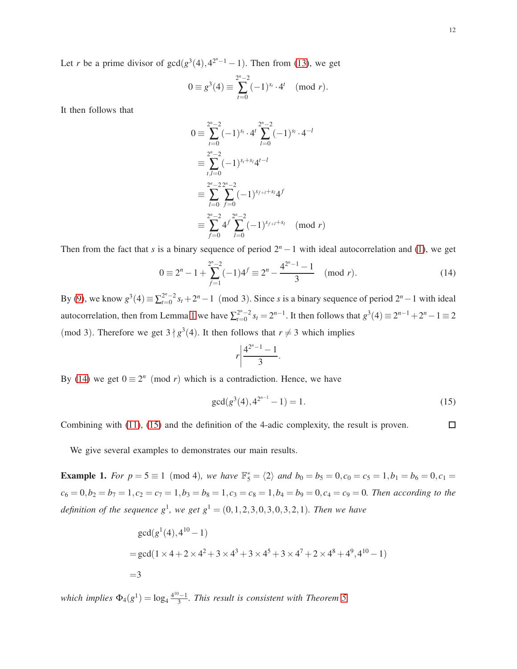Let *r* be a prime divisor of  $gcd(g^3(4), 4^{2^n-1} - 1)$ . Then from [\(13\)](#page-10-2), we get

$$
0 \equiv g^3(4) \equiv \sum_{t=0}^{2^n - 2} (-1)^{s_t} \cdot 4^t \pmod{r}.
$$

It then follows that

$$
0 \equiv \sum_{t=0}^{2^n - 2} (-1)^{s_t} \cdot 4^t \sum_{l=0}^{2^n - 2} (-1)^{s_l} \cdot 4^{-l}
$$
  
\n
$$
\equiv \sum_{t,l=0}^{2^n - 2} (-1)^{s_t + s_l} 4^{t-l}
$$
  
\n
$$
\equiv \sum_{l=0}^{2^n - 2} \sum_{f=0}^{2^n - 2} (-1)^{s_{f+l} + s_l} 4^f
$$
  
\n
$$
\equiv \sum_{f=0}^{2^n - 2} 4^f \sum_{l=0}^{2^n - 2} (-1)^{s_{f+l} + s_l} \pmod{r}
$$

Then from the fact that *s* is a binary sequence of period  $2<sup>n</sup> - 1$  with ideal autocorrelation and [\(1\)](#page-2-1), we get

<span id="page-11-0"></span>
$$
0 \equiv 2^{n} - 1 + \sum_{f=1}^{2^{n}-2} (-1)^{4^{f}} \equiv 2^{n} - \frac{4^{2^{n}-1} - 1}{3} \pmod{r}.
$$
 (14)

By [\(9\)](#page-10-3), we know  $g^3(4) \equiv \sum_{t=0}^{2^n-2} s_t + 2^n - 1 \pmod{3}$ . Since *s* is a binary sequence of period  $2^n - 1$  with ideal autocorrelation, then from Lemma [1](#page-4-2) we have  $\sum_{t=0}^{2^n-2} s_t = 2^{n-1}$ . It then follows that  $g^3(4) \equiv 2^{n-1} + 2^n - 1 \equiv 2$ (mod 3). Therefore we get  $3 \nmid g^3(4)$ . It then follows that  $r \neq 3$  which implies

$$
r\left|\frac{4^{2^n-1}-1}{3}\right|
$$

.

By [\(14\)](#page-11-0) we get  $0 \equiv 2^n \pmod{r}$  which is a contradiction. Hence, we have

<span id="page-11-1"></span>
$$
\gcd(g^3(4), 4^{2^{n-1}} - 1) = 1. \tag{15}
$$

 $\Box$ Combining with [\(11\)](#page-10-4), [\(15\)](#page-11-1) and the definition of the 4-adic complexity, the result is proven.

We give several examples to demonstrates our main results.

**Example 1.** For  $p = 5 \equiv 1 \pmod{4}$ , we have  $\mathbb{F}_5^* = \langle 2 \rangle$  and  $b_0 = b_5 = 0, c_0 = c_5 = 1, b_1 = b_6 = 0, c_1 = 0$  $c_6 = 0, b_2 = b_7 = 1, c_2 = c_7 = 1, b_3 = b_8 = 1, c_3 = c_8 = 1, b_4 = b_9 = 0, c_4 = c_9 = 0$ . Then according to the *definition of the sequence*  $g^1$ , we get  $g^1 = (0, 1, 2, 3, 0, 3, 0, 3, 2, 1)$ *. Then we have* 

$$
gcd(g1(4), 410 - 1)
$$
  
= gcd(1 × 4 + 2 × 4<sup>2</sup> + 3 × 4<sup>3</sup> + 3 × 4<sup>5</sup> + 3 × 4<sup>7</sup> + 2 × 4<sup>8</sup> + 4<sup>9</sup>, 4<sup>10</sup> - 1)  
=3

*which implies*  $\Phi_4(g^1) = \log_4 \frac{4^{10}-1}{3}$ 3 *. This result is consistent with Theorem [5.](#page-6-0)*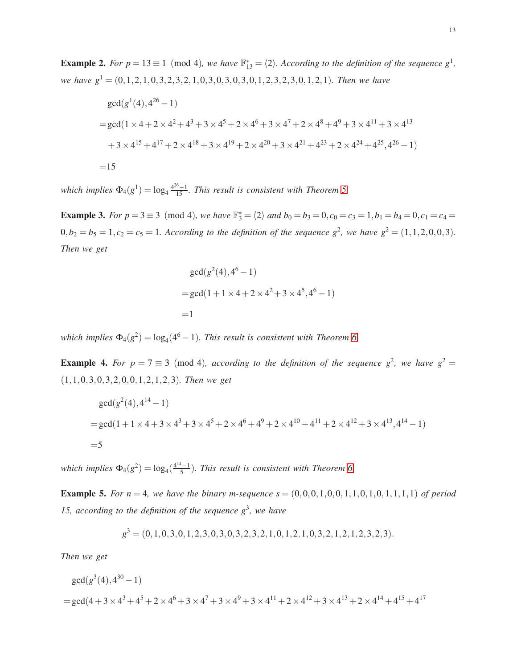**Example 2.** For  $p = 13 \equiv 1 \pmod{4}$ , we have  $\mathbb{F}_{13}^* = \langle 2 \rangle$ . According to the definition of the sequence  $g^1$ , *we have g*<sup>1</sup> = (0,1,2,1,0,3,2,3,2,1,0,3,0,3,0,3,0,1,2,3,2,3,0,1,2,1)*. Then we have*

$$
gcd(g^{1}(4), 4^{26} - 1)
$$
  
= gcd(1 × 4 + 2 × 4<sup>2</sup> + 4<sup>3</sup> + 3 × 4<sup>5</sup> + 2 × 4<sup>6</sup> + 3 × 4<sup>7</sup> + 2 × 4<sup>8</sup> + 4<sup>9</sup> + 3 × 4<sup>11</sup> + 3 × 4<sup>13</sup>  
+ 3 × 4<sup>15</sup> + 4<sup>17</sup> + 2 × 4<sup>18</sup> + 3 × 4<sup>19</sup> + 2 × 4<sup>20</sup> + 3 × 4<sup>21</sup> + 4<sup>23</sup> + 2 × 4<sup>24</sup> + 4<sup>25</sup>, 4<sup>26</sup> - 1)  
= 15

*which implies*  $\Phi_4(g^1) = \log_4 \frac{4^{26}-1}{15}$ . This result is consistent with Theorem [5.](#page-6-0)

**Example 3.** For  $p = 3 \equiv 3 \pmod{4}$ , we have  $\mathbb{F}_3^* = \langle 2 \rangle$  and  $b_0 = b_3 = 0, c_0 = c_3 = 1, b_1 = b_4 = 0, c_1 = c_4 = 0$  $0, b_2 = b_5 = 1, c_2 = c_5 = 1$ . According to the definition of the sequence  $g^2$ , we have  $g^2 = (1, 1, 2, 0, 0, 3)$ . *Then we get*

$$
gcd(g^{2}(4), 4^{6} - 1)
$$
  
= gcd(1 + 1 × 4 + 2 × 4<sup>2</sup> + 3 × 4<sup>5</sup>, 4<sup>6</sup> – 1)  
=1

*which implies*  $\Phi_4(g^2) = \log_4(4^6 - 1)$ *. This result is consistent with Theorem [6.](#page-8-0)* 

**Example 4.** For  $p = 7 \equiv 3 \pmod{4}$ , according to the definition of the sequence  $g^2$ , we have  $g^2 =$ (1,1,0,3,0,3,2,0,0,1,2,1,2,3)*. Then we get*

$$
gcd(g^{2}(4), 4^{14}-1)
$$
  
= gcd(1 + 1 × 4 + 3 × 4<sup>3</sup> + 3 × 4<sup>5</sup> + 2 × 4<sup>6</sup> + 4<sup>9</sup> + 2 × 4<sup>10</sup> + 4<sup>11</sup> + 2 × 4<sup>12</sup> + 3 × 4<sup>13</sup>, 4<sup>14</sup> - 1)  
=5

*which implies*  $\Phi_4(g^2) = \log_4(\frac{4^{14}-1}{5})$ *. This result is consistent with Theorem [6.](#page-8-0)* 

**Example 5.** For  $n = 4$ , we have the binary m-sequence  $s = (0,0,0,1,0,0,1,1,0,1,0,1,1,1)$  of period 15, according to the definition of the sequence  $g^3$ , we have

$$
g3 = (0, 1, 0, 3, 0, 1, 2, 3, 0, 3, 0, 3, 2, 3, 2, 1, 0, 1, 2, 1, 0, 3, 2, 1, 2, 1, 2, 3, 2, 3).
$$

*Then we get*

$$
gcd(g3(4), 430 - 1)
$$
  
= gcd(4+3×4<sup>3</sup>+4<sup>5</sup>+2×4<sup>6</sup>+3×4<sup>7</sup>+3×4<sup>9</sup>+3×4<sup>11</sup>+2×4<sup>12</sup>+3×4<sup>13</sup>+2×4<sup>14</sup>+4<sup>15</sup>+4<sup>17</sup>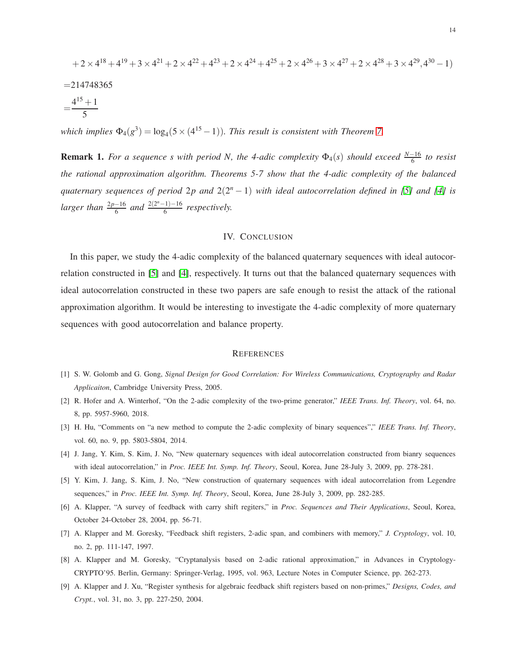$$
+2 \times 4^{18} + 4^{19} + 3 \times 4^{21} + 2 \times 4^{22} + 4^{23} + 2 \times 4^{24} + 4^{25} + 2 \times 4^{26} + 3 \times 4^{27} + 2 \times 4^{28} + 3 \times 4^{29}, 4^{30} - 1)
$$
  
=214748365  
=
$$
\frac{4^{15} + 1}{5}
$$

*which implies*  $\Phi_4(g^3) = \log_4(5 \times (4^{15} - 1))$ *. This result is consistent with Theorem [7.](#page-9-0)* 

**Remark 1.** *For a sequence s with period N, the 4-adic complexity*  $\Phi_4(s)$  *should exceed*  $\frac{N-16}{6}$  *to resist the rational approximation algorithm. Theorems 5-7 show that the 4-adic complexity of the balanced auaternary sequences of period* 2*p and* 2(2<sup>*n*</sup> − 1) *with ideal autocorrelation defined in* [\[5\]](#page-13-2) *and* [\[4\]](#page-13-3) *is larger than*  $\frac{2p-16}{6}$  *and*  $\frac{2(2^{n}-1)-16}{6}$  $rac{(-1)-10}{6}$  respectively.

## IV. CONCLUSION

In this paper, we study the 4-adic complexity of the balanced quaternary sequences with ideal autocorrelation constructed in [\[5\]](#page-13-2) and [\[4\]](#page-13-3), respectively. It turns out that the balanced quaternary sequences with ideal autocorrelation constructed in these two papers are safe enough to resist the attack of the rational approximation algorithm. It would be interesting to investigate the 4-adic complexity of more quaternary sequences with good autocorrelation and balance property.

### **REFERENCES**

- <span id="page-13-5"></span>[1] S. W. Golomb and G. Gong, *Signal Design for Good Correlation: For Wireless Communications, Cryptography and Radar Applicaiton*, Cambridge University Press, 2005.
- [2] R. Hofer and A. Winterhof, "On the 2-adic complexity of the two-prime generator," *IEEE Trans. Inf. Theory*, vol. 64, no. 8, pp. 5957-5960, 2018.
- <span id="page-13-3"></span>[3] H. Hu, "Comments on "a new method to compute the 2-adic complexity of binary sequences"," *IEEE Trans. Inf. Theory*, vol. 60, no. 9, pp. 5803-5804, 2014.
- <span id="page-13-2"></span>[4] J. Jang, Y. Kim, S. Kim, J. No, "New quaternary sequences with ideal autocorrelation constructed from bianry sequences with ideal autocorrelation," in *Proc. IEEE Int. Symp. Inf. Theory*, Seoul, Korea, June 28-July 3, 2009, pp. 278-281.
- <span id="page-13-0"></span>[5] Y. Kim, J. Jang, S. Kim, J. No, "New construction of quaternary sequences with ideal autocorrelation from Legendre sequences," in *Proc. IEEE Int. Symp. Inf. Theory*, Seoul, Korea, June 28-July 3, 2009, pp. 282-285.
- <span id="page-13-1"></span>[6] A. Klapper, "A survey of feedback with carry shift regiters," in *Proc. Sequences and Their Applications*, Seoul, Korea, October 24-October 28, 2004, pp. 56-71.
- [7] A. Klapper and M. Goresky, "Feedback shift registers, 2-adic span, and combiners with memory," *J. Cryptology*, vol. 10, no. 2, pp. 111-147, 1997.
- <span id="page-13-4"></span>[8] A. Klapper and M. Goresky, "Cryptanalysis based on 2-adic rational approximation," in Advances in Cryptology-CRYPTO'95. Berlin, Germany: Springer-Verlag, 1995, vol. 963, Lecture Notes in Computer Science, pp. 262-273.
- [9] A. Klapper and J. Xu, "Register synthesis for algebraic feedback shift registers based on non-primes," *Designs, Codes, and Crypt.*, vol. 31, no. 3, pp. 227-250, 2004.